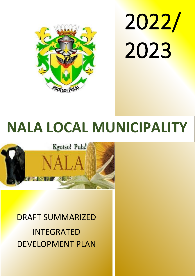

2022/ 2023

# **NALA LOCAL MUNICIPALITY**



DRAFT SUMMARIZED INTEGRATED DEVELOPMENT PLAN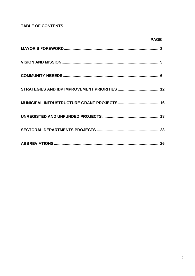# **TABLE OF CONTENTS**

| PAGE |
|------|
|      |
|      |
|      |
|      |
|      |
|      |
|      |
|      |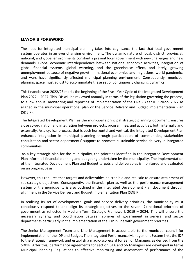# **MAYOR'S FOREWORD**

The need for integrated municipal planning takes into cognisance the fact that local government system operates in an ever-changing environment. The dynamic nature of local, district, provincial, national, and global environments constantly present local government with new challenges and new demands. Global economic interdependence between national economic activities, integration of global financial systems, global warming, and the greenhouse effect, and lately, growing unemployment because of negative growth in national economies and migrations, world pandemics and wars have significantly affected municipal planning environment. Consequently, municipal planning space must adjust to accommodate these set of continuously changing dynamics.

This financial year 2022/23 marks the beginning of the Five - Year Cycle of the Integrated Development Plan 2022 – 2027. This IDP will be reviewed annually in terms of the legislation governing the process, to allow annual monitoring and reporting of implementation of the Five - Year IDP 2022- 2027 as aligned in the municipal operational plan or the Service Delivery and Budget Implementation Plan (SDBIP).

The Integrated Development Plan as the municipal's principal strategic planning document, ensures close co-ordination and integration between projects, programmes, and activities, both internally and externally. As a cyclical process, that is both horizontal and vertical, the Integrated Development Plan enhances integration in municipal planning through participation of communities, stakeholder consultation and sector departments' support to promote sustainable service delivery in integrated communities.

As a key strategic plan for the municipality, the priorities identified in the Integrated Development Plan inform all financial planning and budgeting undertaken by the municipality. The implementation of the Integrated Development Plan and Budget targets and deliverables is monitored and evaluated on an ongoing basis.

However, this requires that targets and deliverables be credible and realistic to ensure attainment of set strategic objectives. Consequently, the financial plan as well as the performance management system of the municipality is also outlined in the Integrated Development Plan document through alignment in the Service Delivery and Budget Implementation Plan (SDBIP).

In realising its set of developmental goals and service delivery priorities, the municipality must consciously respond to and align its strategic objectives to the seven (7) national priorities of government as reflected in Medium-Term Strategic Framework 2019 – 2024. This will ensure the necessary synergy and coordination between spheres of government in general and sector departments particularly in the implementation of the IDP in line with government priorities.

The Senior Management Team and Line Management is accountable to the municipal council for implementation of the IDP and Budget. The Integrated Performance Management System links the IDP to the strategic framework and establish a macro-scorecard for Senior Managers as derived from the SDBIP. After this, performance agreements for section 54A and 56 Managers are developed in terms Municipal Planning Regulations to effective monitoring and assessment of performance of the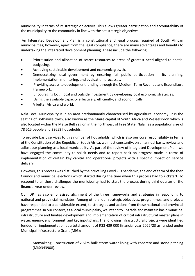municipality in terms of its strategic objectives. This allows greater participation and accountability of the municipality to the community in line with the set strategic objectives.

An Integrated Development Plan is a constitutional and legal process required of South African municipalities; however, apart from the legal compliance, there are many advantages and benefits to undertaking the integrated development planning. These include the following:

- Prioritisation and allocation of scarce resources to areas of greatest need aligned to spatial budgeting.
- Achieving sustainable development and economic growth.
- Democratizing local government by ensuring full public participation in its planning, implementation, monitoring, and evaluation processes.
- Providing access to development funding through the Medium-Term Revenue and Expenditure Framework.
- Encouraging both local and outside investment by developing local economic strategies.
- Using the available capacity effectively, efficiently, and economically.
- A better Africa and world.

Nala Local Municipality is in an area predominantly characterised by agricultural economy. It is the seating of Bothaville town, also known as the Maize capital of South Africa and Wesselsbron which is also located within the Maize Belt region in the northwest of Free State. Nala has a population size of 78 515 people and 23653 households.

To provide basic services to this number of households, which is also our core responsibility in terms of the Constitution of the Republic of South Africa, we must constantly, on an annual basis, review and adjust our planning as a local municipality. As part of the review of Integrated Development Plan, we have engaged the community to solicit needs and to report back on progress made in terms of implementation of certain key capital and operational projects with a specific impact on service delivery.

However, this process was disturbed by the prevailing Covid -19 pandemic, the end of term of the then Council and municipal elections which started during the time when this process had to kickstart. To respond to all these challenges the municipality had to start the process during third quarter of the financial year under review.

Our IDP has also emphasised alignment of the three frameworks and strategies in responding to national and provincial mandates. Among others, our strategic objectives, programmes, and projects have responded to a considerable extent, to strategies and actions from these national and provincial programmes. In our context, as a local municipality, we intend to upgrade and maintain basic municipal infrastructure and finalise development and implementation of critical infrastructural master plans in water, energy, environment, and key input plans. The following infrastructural projects were identified funded for implementation at a total amount of R33 439 000 financial year 2022/23 as funded under Municipal Infrastructure Grant (MIG);

1. Monyakeng: Construction of 2.5km bulk storm water lining with concrete and stone pitching (MIS:343908).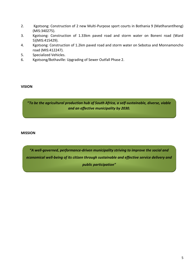- 2. Kgotsong: Construction of 2 new Multi-Purpose sport courts in Bothania 9 (Matlharantlheng) (MIS:340275).
- 3. Kgotsong: Construction of 1.33km paved road and storm water on Boneni road (Ward 5)(MIS:415429).
- 4. Kgotsong: Construction of 1.2km paved road and storm water on Sebotsa and Monnamoncho road (MIS:412247).
- 5. Specialized Vehicles.
- 6. Kgotsong/Bothaville: Upgrading of Sewer Outfall Phase 2.

### **VISION**

**"***To be the agricultural production hub of South Africa, a self-sustainable, diverse, viable and an effective municipality by 2030.*

#### **MISSION**

*"A well-governed, performance-driven municipality striving to improve the social and economical well-being of its citizen through sustainable and effective service delivery and public participation"*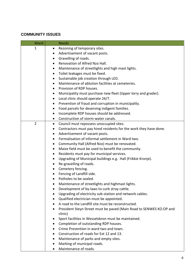# **COMMUNITY ISSUES**

| Ward           | <b>Needs</b>                                                                   |
|----------------|--------------------------------------------------------------------------------|
| $\mathbf{1}$   | Rezoning of temporary sites.<br>$\bullet$                                      |
|                | Advertisement of vacant posts.<br>$\bullet$                                    |
|                | Gravelling of roads.<br>٠                                                      |
|                | Renovation of Alfred Nzo Hall.<br>$\bullet$                                    |
|                | Maintenance of streetlights and high mast lights.<br>$\bullet$                 |
|                | Toilet leakages must be fixed.<br>$\bullet$                                    |
|                | Sustainable job creation through LED.<br>٠                                     |
|                | Maintenance of ablution facilities at cemeteries.<br>٠                         |
|                | Provision of RDP houses.<br>$\bullet$                                          |
|                | Municipality must purchase new fleet (tipper lorry and grader).<br>٠           |
|                | Local clinic should operate 24/7.<br>٠                                         |
|                | Prevention of fraud and corruption in municipality.                            |
|                | Food parcels for deserving indigent families.                                  |
|                | Incomplete RDP houses should be addressed.<br>٠                                |
|                | Construction of storm-water canals.<br>٠                                       |
| $\overline{2}$ | Council must repossess unoccupied sites.<br>٠                                  |
|                | Contractors must pay hired residents for the work they have done.<br>$\bullet$ |
|                | Advertisement of vacant posts.<br>٠                                            |
|                | Formalisation of informal settlement in Ward two.<br>٠                         |
|                | Community Hall (Alfred Nzo) must be renovated.<br>$\bullet$                    |
|                | Maize field must be used to benefit the community.<br>$\bullet$                |
|                | Residents must pay for municipal services.                                     |
|                | Upgrading of Municipal buildings e.g. Hall (Frikkie Kronje).<br>$\bullet$      |
|                | Re-gravelling of roads.                                                        |
|                | $\bullet$                                                                      |
|                | Cemetery fencing.<br>$\bullet$<br>Fencing of Landfill side.                    |
|                | $\bullet$<br>Potholes to be sealed.                                            |
|                |                                                                                |
|                | Maintenance of streetlights and highmast lights.<br>٠                          |
|                | Development of by-laws to curb stray cattle.                                   |
|                | Upgrading of electricity sub-station and network cables.<br>$\bullet$          |
|                | Qualified electrician must be appointed.                                       |
|                | A road to the Landfill site must be reconstructed.<br>$\bullet$                |
|                | President Steyn Street must be paved (Main Road to SENWES KO.OP and            |
|                | clinic)                                                                        |
|                | Sport facilities in Wesselsbron must be maintained.                            |
|                | Completion of outstanding RDP houses.<br>$\bullet$                             |
|                | Crime Prevention in ward two and town.<br>$\bullet$                            |
|                | Construction of roads for Ext 12 and 13.                                       |
|                | Maintenance of parks and empty sites.                                          |
|                | Marking of municipal roads.                                                    |
|                | Maintenance of roads.<br>$\bullet$                                             |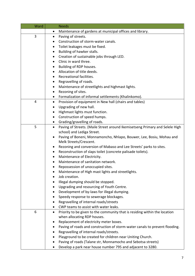| Ward | <b>Needs</b>                                                                              |
|------|-------------------------------------------------------------------------------------------|
|      | Maintenance of gardens at municipal offices and library.<br>٠                             |
| 3    | Paving of streets.<br>$\bullet$                                                           |
|      | Construction of storm-water canals.                                                       |
|      | Toilet leakages must be fixed.<br>٠                                                       |
|      | Building of hawker stalls.<br>٠                                                           |
|      | Creation of sustainable jobs through LED.<br>$\bullet$                                    |
|      | Clinic in ward three.                                                                     |
|      | Building of RDP houses.                                                                   |
|      | Allocation of title deeds.                                                                |
|      | Recreational facilities.                                                                  |
|      | Regravelling of roads.<br>٠                                                               |
|      | Maintenance of streetlights and highmast lights.<br>٠                                     |
|      | Rezoning of sites.<br>$\bullet$                                                           |
|      | Formalization of informal settlements (Khalinkomo).                                       |
| 4    | Provision of equipment in New hall (chairs and tables)<br>$\bullet$                       |
|      | Upgrading of new hall.<br>٠                                                               |
|      | Highmast lights must function.<br>٠                                                       |
|      | Construction of speed humps.                                                              |
|      | Grading/gravelling of roads.<br>$\bullet$                                                 |
| 5    | Paving of Streets. (Maile Street around Ikemisetseng Primary and Selele High<br>$\bullet$ |
|      | school) and Lediga Street.                                                                |
|      | Paving of Boneni, Monnamoncho, Nhlapo, Bouwer, Lee, Bosiu, Mohau and<br>$\bullet$         |
|      | Melk Streets/Crescent.                                                                    |
|      | Rezoning and conversion of Mabaso and Lee Streets' parks to sites.<br>٠                   |
|      | Reconstruction of slaps toilet (concrete palisade toilets).<br>٠                          |
|      | Maintenance of Electricity.<br>$\bullet$                                                  |
|      | Maintenance of sanitation network.<br>$\bullet$                                           |
|      | Repossession of unoccupied sites.<br>$\bullet$                                            |
|      | Maintenance of High mast lights and streetlights.                                         |
|      | Job creation.                                                                             |
|      | Illegal dumping should be stopped.                                                        |
|      | Upgrading and resourcing of Youth Centre.                                                 |
|      | Development of by-laws for illegal dumping.<br>٠                                          |
|      | Speedy response to sewerage blockages.                                                    |
|      | Regravelling of internal roads/streets                                                    |
|      | CWP teams to assist with water leaks.                                                     |
| 6    | Priority to be given to the community that is residing within the location<br>$\bullet$   |
|      | when allocating RDP houses.                                                               |
|      | Replacement of electricity meter boxes.<br>٠                                              |
|      | Paving of roads and construction of storm-water canals to prevent flooding.               |
|      | Regravelling of internal roads/streets.                                                   |
|      | Playground to be created for children near Uniting Church.                                |
|      | Paving of roads (Talane str, Monnamocho and Sebotsa streets)                              |
|      | Develop a park near house number 795 and adjacent to 3280.<br>٠                           |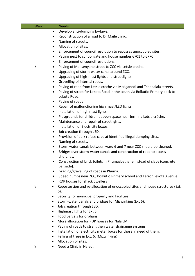| Ward           | <b>Needs</b>                                                                            |
|----------------|-----------------------------------------------------------------------------------------|
|                | Develop anti-dumping by-laws.                                                           |
|                | Reconstruction of a road to Dr Maile clinic.<br>$\bullet$                               |
|                | Naming of streets.                                                                      |
|                | Allocation of sites.<br>٠                                                               |
|                | Enforcement of council resolution to reposses unoccupied sites.                         |
|                | Paving next to school gate and house number 6701 to 6770.<br>٠                          |
|                | Enforcement of council resolutions.<br>$\bullet$                                        |
| $\overline{7}$ | Paving of Molisenyane street to ZCC via Letsie creche.<br>$\bullet$                     |
|                | Upgrading of storm-water canal around ZCC.<br>٠                                         |
|                | Upgrading of high-mast lights and streetlights.<br>٠                                    |
|                | Gravelling of internal roads.<br>$\bullet$                                              |
|                | Paving of road from Letsie crèche via Mokganedi and Tshabalala streets.<br>٠            |
|                | Paving of street for Lekota Road in the south via Boikutlo Primary back to<br>$\bullet$ |
|                | Lekota Road.                                                                            |
|                | Paving of roads                                                                         |
|                | Repair of malfunctioning high mast/LED lights.<br>٠                                     |
|                | Installation of high mast lights.<br>٠                                                  |
|                | Playgrounds for children at open space near Jermina Letsie crèche.<br>٠                 |
|                | Maintenance and repair of streetlights.<br>$\bullet$                                    |
|                | Installation of Electricity boxes.<br>$\bullet$                                         |
|                | Job creation through LED.<br>٠                                                          |
|                | Provision of bulk refuse cabs at identified illegal dumping sites.<br>$\bullet$         |
|                | Naming of streets.<br>٠                                                                 |
|                | Storm water canals between ward 6 and 7 near ZCC should be cleaned.<br>$\bullet$        |
|                | Bridges over storm-water canals and construction of road to access                      |
|                | churches.                                                                               |
|                | Construction of brick toilets in Phumasbethane instead of slaps (concrete               |
|                | palisade).                                                                              |
|                | Grading/gravelling of roads in Phuma.                                                   |
|                | Speed humps near ZCC, Boikutlo Primary school and Terror Lekota Avenue.                 |
|                | RDP houses for shack dwellers                                                           |
| 8              | Repossession and re-allocation of unoccupied sites and house structures (Ext.           |
|                | $6$ ).                                                                                  |
|                | Security for municipal property and facilities                                          |
|                | Storm-water canals and bridges for Mizwinking (Ext 6).                                  |
|                | Job creation through LED.                                                               |
|                | Highmast lights for Ext 6                                                               |
|                | Food parcels for orphans                                                                |
|                | More allocation for RDP houses for Nala LM.                                             |
|                | Paving of roads to strengthen water drainange systems.                                  |
|                | Installation of electricity meter boxes for those in need of them.                      |
|                | Felling of trees in Ext. 6. (Mizwinking)                                                |
|                | Allocation of sites.                                                                    |
| 9              | Need a Clinic in Naledi.<br>$\bullet$                                                   |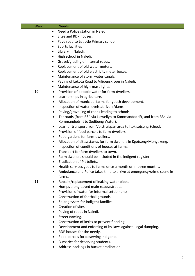| Ward | <b>Needs</b>                                                                      |
|------|-----------------------------------------------------------------------------------|
|      | Need a Police station in Naledi.                                                  |
|      | Sites and RDP houses.                                                             |
|      | Pave road to Letlotlo Primary school.                                             |
|      | Sports facilities<br>٠                                                            |
|      | Library in Naledi.                                                                |
|      | High school in Naledi.                                                            |
|      | Gravel/grading of internal roads.                                                 |
|      | Replacement of old water meters.<br>٠                                             |
|      | Replacement of old electricity meter boxes.<br>٠                                  |
|      | Maintenance of storm water canals.                                                |
|      | Paving of Lekota Road to Viljoenskroon in Naledi.<br>$\bullet$                    |
|      | Maintenance of high-mast lights.<br>$\bullet$                                     |
| 10   | Provision of potable water for farm-dwellers.<br>$\bullet$                        |
|      | Learnerships in agriculture.<br>٠                                                 |
|      | Allocation of municipal farms for youth development.<br>٠                         |
|      | Inspection of water levels at rivers/dams.<br>$\bullet$                           |
|      | Paving/gravelling of roads leading to schools.<br>$\bullet$                       |
|      | Tar roads (from R34 via Llewellyn to Kommandodrift, and from R34 via<br>$\bullet$ |
|      | Kommandodrift to Sedibeng Water).                                                 |
|      | Learner transport from Volstruispan area to Itokisetseng School.<br>$\bullet$     |
|      | Provision of food parcels to farm-dwellers.<br>٠                                  |
|      | Food gardens for farm-dwellers.<br>$\bullet$                                      |
|      | Allocation of sites/stands for farm dwellers in Kgotsong/Monyakeng.<br>$\bullet$  |
|      | Inspection of conditions of houses at farms.<br>$\bullet$                         |
|      | Transport for farm dwellers to town.<br>$\bullet$                                 |
|      | Farm dwellers should be included in the indigent register.<br>٠                   |
|      | Eradication of Pit toilets.                                                       |
|      | Health services goes to farms once a month or in three months.<br>٠               |
|      | Ambulance and Police takes time to arrive at emergency/crime scene in             |
|      | farms.                                                                            |
| 11   | Repairs/replacement of leaking water pipes.<br>٠                                  |
|      | Humps along paved main roads/streets.<br>٠                                        |
|      | Provision of water for informal settlements.<br>$\bullet$                         |
|      | Construction of football grounds.                                                 |
|      | Solar geysers for indigent families.<br>٠                                         |
|      | Creation of sites.                                                                |
|      | Paving of roads in Naledi.                                                        |
|      | Street naming.                                                                    |
|      | Construction of kerbs to prevent flooding.<br>٠                                   |
|      | Development and enforcing of by-laws against illegal dumping.<br>٠                |
|      | RDP houses for the needy.                                                         |
|      | Food parcels for deserving indigents.                                             |
|      | Bursaries for deserving students.                                                 |
|      | Address backlogs in bucket eradication.<br>$\bullet$                              |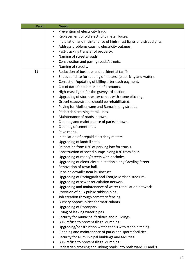| Ward | <b>Needs</b>                                                                |
|------|-----------------------------------------------------------------------------|
|      | Prevention of electricity fraud.<br>$\bullet$                               |
|      | Replacement of old electricity meter boxes.<br>٠                            |
|      | Installation and maintenance of high-mast lights and streetlights.          |
|      | Address problems causing electricity outages.<br>٠                          |
|      | Fast-tracking transfer of property.<br>٠                                    |
|      | Naming of streets/roads.<br>$\bullet$                                       |
|      | Construction and paving roads/streets.                                      |
|      | Naming of streets.<br>٠                                                     |
| 12   | Reduction of business and residential tariffs.<br>$\bullet$                 |
|      | Set cut of date for reading of meters. (electricity and water).<br>٠        |
|      | Correction/updating of billing after each payment.<br>$\bullet$             |
|      | Cut of date for submission of accounts.<br>$\bullet$                        |
|      | High-mast lights for the graveyard section.<br>٠                            |
|      | Upgrading of storm-water canals with stone pitching.                        |
|      | Gravel roads/streets should be rehabilitated.<br>٠                          |
|      | Paving for Molisenyane and Ramasimong streets.<br>٠                         |
|      | Pedestrian crossing at rail lines.<br>٠                                     |
|      | Maintenance of roads in town.<br>٠                                          |
|      | Cleaning and maintenance of parks in town.<br>٠                             |
|      | Cleaning of cemeteries.<br>٠                                                |
|      | Pave roads.                                                                 |
|      | Installation of prepaid electricity meters.<br>$\bullet$                    |
|      | Upgrading of landfill sites.<br>$\bullet$                                   |
|      | Relocation from R30 of parking bay for trucks.<br>$\bullet$                 |
|      | Construction of speed humps along R30 from Spur.<br>٠                       |
|      | Upgrading of roads/streets with potholes.<br>$\bullet$                      |
|      | Upgrading of electricity sub-station along Greyling Street.                 |
|      | Renovation of town hall.                                                    |
|      | Repair sidewalks near businesses.                                           |
|      | Upgrading of Doringpark and Kootjie Jordaan stadium.                        |
|      | Upgrading of sewer reticulation network.<br>٠                               |
|      | Upgrading and maintenance of water reticulation network.<br>٠               |
|      | Provision of bulk public rubbish bins.<br>٠                                 |
|      | Job creation through cemetery fencing                                       |
|      | Bursary opportunities for matriculants.                                     |
|      | <b>Upgrading of Doornpark.</b>                                              |
|      | Fixing of leaking water pipes.                                              |
|      | Security for municipal facilities and buildings.                            |
|      | Bulk refuse to prevent illegal dumping.<br>٠                                |
|      | Upgrading/construction water canals with stone pitching.<br>٠               |
|      | Cleaning and maintenance of parks and sports facilities.                    |
|      | Security for all municipal buildings and facilities.<br>٠                   |
|      | Bulk refuse to prevent illegal dumping.<br>٠                                |
|      | Pedestrian crossing and linking roads into both ward 11 and 9.<br>$\bullet$ |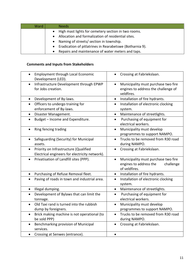| Ward | <b>Needs</b>                                             |
|------|----------------------------------------------------------|
|      | High mast lights for cemetery section in two rooms.      |
|      | Allocation and formalization of residential sites.       |
|      | Naming of streets/ section in township.                  |
|      | Eradication of pitlatrines in Rearabetswe (Botharnia 9). |
|      | Repairs and maintenance of water meters and taps.        |

# **Comments and Inputs from Stakeholders**

| <b>Employment through Local Economic</b><br>$\bullet$<br>Development (LED). | Crossing at Fabriekslaan.                        |
|-----------------------------------------------------------------------------|--------------------------------------------------|
| Infrastructure Development through EPWP                                     | Municipality must purchase two fire              |
| for Jobs creation.                                                          | engines to address the challenge of              |
|                                                                             | veldfires.                                       |
| Development of By-laws.<br>$\bullet$                                        | Installation of fire hydrants.<br>$\bullet$      |
| Officers to undergo training for<br>$\bullet$                               | Installation of electronic clocking<br>$\bullet$ |
| enforcement of By-laws.                                                     | system.                                          |
| Disaster Management.<br>$\bullet$                                           | Maintenance of streetlights.<br>$\bullet$        |
| Budget - Income and Expenditure.<br>$\bullet$                               | Purchasing of equipment for<br>$\bullet$         |
|                                                                             | electrical workers.                              |
| Ring fencing trading                                                        | Municipality must develop<br>$\bullet$           |
|                                                                             | programmes to support NAMPO.                     |
| Safeguarding (Security) for Municipal                                       | Trucks to be removed from R30 road               |
| assets.                                                                     | during NAMPO.                                    |
| Priority on Infrastructure (Qualified<br>$\bullet$                          | Crossing at Fabriekslaan.                        |
| Electrical engineers for electricity network).                              |                                                  |
| Privatisation of Landfill sites (PPP).<br>$\bullet$                         | Municipality must purchase two fire<br>$\bullet$ |
|                                                                             | engines to address the<br>challenge              |
|                                                                             | of veldfires.                                    |
| Purchasing of Refuse Removal fleet.<br>$\bullet$                            | Installation of fire hydrants.<br>$\bullet$      |
| Paving of roads in town and industrial area.<br>$\bullet$                   | Installation of electronic clocking<br>$\bullet$ |
|                                                                             | system.                                          |
| Illegal dumping.<br>$\bullet$                                               | Maintenance of streetlights.<br>$\bullet$        |
| Development of Bylaws that can limit the<br>$\bullet$                       | Purchasing of equipment for<br>$\bullet$         |
| tonnage.                                                                    | electrical workers.                              |
| Old Taxi rand is turned into the rubbish<br>$\bullet$                       | Municipality must develop<br>$\bullet$           |
| dump by foreigners.                                                         | programmes to support NAMPO.                     |
| Brick making machine is not operational (to<br>$\bullet$                    | Trucks to be removed from R30 road<br>$\bullet$  |
| be sold PPP)                                                                | during NAMPO.                                    |
| Benchmarking provision of Municipal                                         | Crossing at Fabriekslaan.                        |
| services.                                                                   |                                                  |
| Crossing at Senwes (entrance).                                              |                                                  |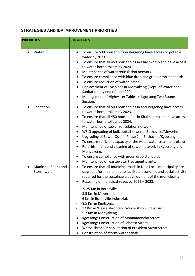# **STRATEGIES AND IDP IMPROVEMENT PRIORITIES**

| <b>PRIORITIES</b>                               | <b>STRATEGIES</b>                                                                                                                                                                                                                                                                                                                                                                                                                                                                                                                                                                                                                                              |
|-------------------------------------------------|----------------------------------------------------------------------------------------------------------------------------------------------------------------------------------------------------------------------------------------------------------------------------------------------------------------------------------------------------------------------------------------------------------------------------------------------------------------------------------------------------------------------------------------------------------------------------------------------------------------------------------------------------------------|
|                                                 |                                                                                                                                                                                                                                                                                                                                                                                                                                                                                                                                                                                                                                                                |
| Water                                           | To ensure 500 households in Vergenog have access to potable<br>water by 2023.<br>To ensure that all 450 households in Khalinkomo and have access<br>to water-borne toilets by 2024.<br>Maintenance of water reticulation network.<br>To ensure compliance with blue drop and green drop standards.<br>To ensure reduction of water losses.<br>Replacement of Pvc pipes in Monyakeng (Dept. of Water and<br>Sanitation) by end of June 2024.<br>Management of Highwater Tables in Kgotsong Two Rooms<br>Section.                                                                                                                                                |
| Sanitation                                      | To ensure that all 500 households in and Vergenog have access<br>to water-borne toilets by 2023.<br>To ensure that all 450 households in Khalinkomo and have access<br>to water-borne toilets by 2024.<br>Maintenance of sewer reticulation network.<br>WSIG upgrading of bulk outfall sewer in Bothaville/Meyerhof.<br>Upgrading of Sewer Outfall Phase 2 in Bothaville/Kgotsong.<br>To ensure sufficient capacity of the wastewater treatment plants.<br>Refurbishment and cleaning of sewer network in Kgotsong and<br>٠<br>Monyakeng.<br>To ensure compliance with green drop standards<br>Maintenance of wastewater treatment plants.                     |
| Municipal Roads and<br>$\bullet$<br>Storm-water | To ensure that all municipal roads in Nala Local municipality are<br>$\bullet$<br>upgraded/or maintained to facilitate economic and social activity<br>required for the sustainable development of the municipality.<br>Resealing of municipal roads by 2022 - 2023.<br>5.25 Km in Bothaville.<br>3.5 Km in Meyerhof.<br>6 Km in Bothaville Industrial.<br>8.5 Km in Kgotsong.<br>-<br>12 Km in Wesselsbron and Wesselsbron Industrial.<br>5.7 Km in Monyakeng.<br>Kgotsong: Construction of Monnamoncho Street.<br>Kgotsong: Construction of Sebotsa Street.<br>Wesselsbron: Rehabilitation of President Steyn Street.<br>Construction of storm-water canals. |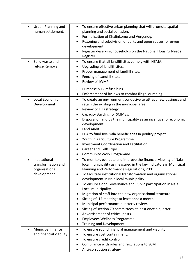| Urban Planning and<br>$\bullet$<br>human settlement. | To ensure effective urban planning that will promote spatial<br>$\bullet$<br>planning and social cohesion.<br>Formalisation of Khalinkomo and Vergenog.<br>$\bullet$<br>Rezoning and subdivision of parks and open spaces for erven<br>$\bullet$<br>development.<br>Register deserving households on the National Housing Needs<br>Register. |
|------------------------------------------------------|----------------------------------------------------------------------------------------------------------------------------------------------------------------------------------------------------------------------------------------------------------------------------------------------------------------------------------------------|
| Solid waste and<br>$\bullet$<br>refuse Removal       | To ensure that all landfill sites comply with NEMA.<br>$\bullet$<br>Upgrading of landfill sites.<br>٠                                                                                                                                                                                                                                        |
|                                                      | Proper management of landfill sites.<br>$\bullet$                                                                                                                                                                                                                                                                                            |
|                                                      | Fencing of Landfill sites.<br>٠<br>Review of IWMP.                                                                                                                                                                                                                                                                                           |
|                                                      | $\bullet$                                                                                                                                                                                                                                                                                                                                    |
|                                                      | Purchase bulk refuse bins.<br>$\blacksquare$<br>Enforcement of by laws to combat illegal dumping.<br>$\bullet$                                                                                                                                                                                                                               |
| Local Economic<br>$\bullet$                          | To create an environment conducive to attract new business and<br>$\bullet$                                                                                                                                                                                                                                                                  |
| Development                                          | retain the existing in the municipal area.<br>Review of LED strategy.<br>$\bullet$                                                                                                                                                                                                                                                           |
|                                                      | Capacity Building for SMMEs.<br>$\bullet$                                                                                                                                                                                                                                                                                                    |
|                                                      | Disposal of land by the municipality as an incentive for economic                                                                                                                                                                                                                                                                            |
|                                                      | development.<br>Land Audit.                                                                                                                                                                                                                                                                                                                  |
|                                                      | $\bullet$<br>LDA to fund five Nala beneficiaries in poultry project.<br>$\bullet$                                                                                                                                                                                                                                                            |
|                                                      | Youth in Agriculture Programme.<br>٠                                                                                                                                                                                                                                                                                                         |
|                                                      | Investment Coordination and Facilitation.<br>٠                                                                                                                                                                                                                                                                                               |
|                                                      | Career and Skills Expo.<br>٠<br>Community Work Programme.<br>$\bullet$                                                                                                                                                                                                                                                                       |
| Institutional<br>transformation and                  | To monitor, evaluate and improve the financial viability of Nala<br>$\bullet$<br>local municipality as measured in the key indicators in Municipal                                                                                                                                                                                           |
| organisational                                       | Planning and Performance Regulations, 2001.                                                                                                                                                                                                                                                                                                  |
| development                                          | To facilitate institutional transformation and organisational                                                                                                                                                                                                                                                                                |
|                                                      | development in Nala local municipality.<br>To ensure Good Governance and Public participation in Nala<br>$\bullet$                                                                                                                                                                                                                           |
|                                                      | Local municipality.                                                                                                                                                                                                                                                                                                                          |
|                                                      | Migration of staff into the new organisational structure.                                                                                                                                                                                                                                                                                    |
|                                                      | Sitting of LLF meetings at least once a month.                                                                                                                                                                                                                                                                                               |
|                                                      | Municipal performance quarterly review.<br>Sitting of section 79 committees at least once a quarter.                                                                                                                                                                                                                                         |
|                                                      | Advertisement of critical posts.                                                                                                                                                                                                                                                                                                             |
|                                                      | Employees Wellness Programme.<br>٠                                                                                                                                                                                                                                                                                                           |
|                                                      | Training and Development.                                                                                                                                                                                                                                                                                                                    |
| Municipal finance<br>and financial viability.        | To ensure sound financial management and viability.<br>To ensure cost containment.                                                                                                                                                                                                                                                           |
|                                                      | To ensure credit control.<br>$\bullet$                                                                                                                                                                                                                                                                                                       |
|                                                      | Compliance with rules and regulations to SCM.                                                                                                                                                                                                                                                                                                |
|                                                      | Anti-corruption strategy                                                                                                                                                                                                                                                                                                                     |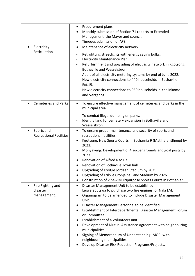| Electricity                                  | Procurement plans.<br>$\bullet$<br>Monthly submission of Section 71 reports to Extended<br>Management, the Mayor and council.<br>Timeous submission of AFS.<br>Maintenance of electricity network.                                                                                                                                                                                                                                                                                                                                                                                               |
|----------------------------------------------|--------------------------------------------------------------------------------------------------------------------------------------------------------------------------------------------------------------------------------------------------------------------------------------------------------------------------------------------------------------------------------------------------------------------------------------------------------------------------------------------------------------------------------------------------------------------------------------------------|
| Reticulation                                 | Retrofitting streetlights with energy saving bulbs.<br>$\blacksquare$<br>Electricity Maintenance Plan.<br>$\blacksquare$<br>Refurbishment and upgrading of electricity network in Kgotsong,<br>Bothaville and Wesselsbron.<br>Audit of all electricity metering systems by end of June 2022.<br>$\blacksquare$<br>New electricity connections to 440 households in Bothaville<br>Ext.15.<br>New electricity connections to 950 households in Khalinkomo<br>and Vergenog.                                                                                                                         |
| <b>Cemeteries and Parks</b>                  | To ensure effective management of cemeteries and parks in the<br>$\bullet$<br>municipal area.                                                                                                                                                                                                                                                                                                                                                                                                                                                                                                    |
|                                              | To combat illegal dumping on parks.<br>Identify land for cemetery expansion in Bothaville and<br>Wesselsbron.                                                                                                                                                                                                                                                                                                                                                                                                                                                                                    |
| Sports and<br><b>Recreational Facilities</b> | To ensure proper maintenance and security of sports and<br>٠<br>recreational facilities.<br>Kgotsong: New Sports Courts in Botharnia 9 (Matlharantlheng) by<br>2023.<br>Monyakeng: Development of 4 soccer grounds and goal posts by<br>2023.<br>Renovation of Alfred Nzo Hall.<br>Renovation of Bothaville Town hall.<br>Upgrading of Kootjie Jordaan Stadium by 2025.<br>Upgrading of Frikkie Cronje hall and Stadium by 2026.<br>Construction of 2 new Multipurpose Sports Courts in Bothania 9.<br>$\bullet$                                                                                 |
| Fire Fighting and<br>disaster<br>management. | Disaster Management Unit to be established:<br>$\bullet$<br>Lejweleputswa to purchase two fire engines for Nala LM.<br>Organogram to be amended to include Disaster Management<br>Unit.<br>Disaster Management Personnel to be identified.<br>Establishment of Interdepartmental Disaster Management Forum<br>or Committee.<br>Establishment of a Volunteers unit.<br>Development of Mutual Assistance Agreement with neighbouring<br>municipalities.<br>Signing of Memorandum of Understanding (MOE) with<br>neighbouring municipalities.<br>Develop Disaster Risk Reduction Programs/Projects. |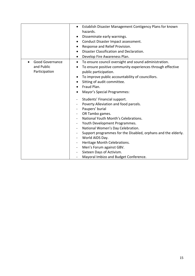|                                                | Establish Disaster Management Contigency Plans for known<br>hazards.<br>Disseminate early warnings.<br>Conduct Disaster Impact assessment.<br>Response and Relief Provision.<br>٠<br>Disaster Classification and Declaration.<br>$\bullet$<br>Develop Fire Awareness Plan.<br>$\bullet$                                                                                                                                                                                                                          |
|------------------------------------------------|------------------------------------------------------------------------------------------------------------------------------------------------------------------------------------------------------------------------------------------------------------------------------------------------------------------------------------------------------------------------------------------------------------------------------------------------------------------------------------------------------------------|
| Good Governance<br>and Public<br>Participation | To ensure council oversight and sound administration.<br>٠<br>To ensure positive community experiences through effective<br>public participation.<br>To improve public accountability of councillors.<br>Sitting of audit committee.<br>Fraud Plan.<br>٠<br>Mayor's Special Programmes:                                                                                                                                                                                                                          |
|                                                | Students' Financial support.<br>Poverty Alleviation and food parcels.<br>Paupers' burial<br>OR Tambo games.<br>$\overline{\phantom{0}}$<br>National Youth Month's Celebrations.<br>Youth Development Programmes.<br>National Women's Day Celebration.<br>-<br>Support programmes for the Disabled, orphans and the elderly.<br>World AIDS Day.<br>Heritage Month Celebrations.<br>$\qquad \qquad \blacksquare$<br>Men's Forum against GBV.<br>Sixteen Days of Activism.<br>Mayoral Imbizo and Budget Conference. |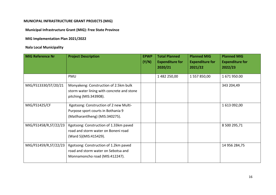## **MUNICIPAL INFRASTRUCTURE GRANT PROJECTS (MIG)**

**Municipal Infrastructure Grant (MIG): Free State Province**

**MIG Implementation Plan 2021/2022**

# **Nala Local Municipality**

| <b>MIG Reference Nr</b> | <b>Project Description</b>                                                                                      | <b>EPWP</b><br>(Y/N) | <b>Total Planned</b><br><b>Expenditure for</b><br>2020/21 | <b>Planned MIG</b><br><b>Expenditure for</b><br>2021/22 | <b>Planned MIG</b><br><b>Expenditure for</b><br>2022/23 |
|-------------------------|-----------------------------------------------------------------------------------------------------------------|----------------------|-----------------------------------------------------------|---------------------------------------------------------|---------------------------------------------------------|
|                         | <b>PMU</b>                                                                                                      |                      | 1 482 250,00                                              | 1 557 850,00                                            | 1671950.00                                              |
| MIG/FS13330/ST/20/21    | Monyakeng: Construction of 2.5km bulk<br>storm water lining with concrete and stone<br>pitching (MIS:343908).   |                      |                                                           |                                                         | 343 204,49                                              |
| MIG/FS1425/CF           | Kgotsong: Construction of 2 new Multi-<br>Purpose sport courts in Bothania 9<br>(Matlharantlheng) (MIS:340275). |                      |                                                           |                                                         | 1 613 092,00                                            |
| MIG/FS1458/R, ST/22/23  | Kgotsong: Construction of 1.33km paved<br>road and storm water on Boneni road<br>(Ward 5)(MIS:415429).          |                      |                                                           |                                                         | 8 500 295,71                                            |
| MIG/FS1459/R, ST/22/23  | Kgotsong: Construction of 1.2km paved<br>road and storm water on Sebotsa and<br>Monnamoncho road (MIS:412247).  |                      |                                                           |                                                         | 14 956 284,75                                           |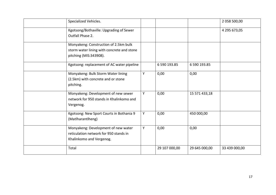| Specialized Vehicles.                                                                                         |   |               |               | 2 058 500,00  |
|---------------------------------------------------------------------------------------------------------------|---|---------------|---------------|---------------|
| Kgotsong/Bothaville: Upgrading of Sewer<br>Outfall Phase 2.                                                   |   |               |               | 4 295 673,05  |
| Monyakeng: Construction of 2.5km bulk<br>storm water lining with concrete and stone<br>pitching (MIS:343908). |   |               |               |               |
| Kgotsong: replacement of AC water pipeline                                                                    |   | 6 590 193.85  | 6 590 193.85  |               |
| Monyakeng: Bulk Storm Water lining<br>(2.5km) with concrete and or stone<br>pitching.                         | Y | 0,00          | 0,00          |               |
| Monyakeng: Development of new sewer<br>network for 950 stands in Khalinkomo and<br>Vergenog.                  | Y | 0,00          | 15 571 433,18 |               |
| Kgotsong: New Sport Courts in Bothania 9<br>(Matlharantlheng)                                                 | Y | 0,00          | 450 000,00    |               |
| Monyakeng: Development of new water<br>reticulation network for 950 stands in<br>Khalinkomo and Vergenog.     | Υ | 0,00          | 0,00          |               |
| Total                                                                                                         |   | 29 107 000,00 | 29 645 000,00 | 33 439 000,00 |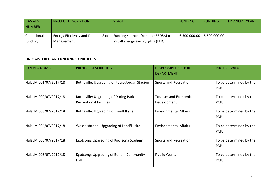| <b>IDP/MIG</b><br><b>NUMBER</b> | <b>PROJECT DESCRIPTION</b>                      | <b>STAGE</b>                                                             | <b>FUNDING</b> | <b>FUNDING</b>              | FINANCIAL YEAR |
|---------------------------------|-------------------------------------------------|--------------------------------------------------------------------------|----------------|-----------------------------|----------------|
| Conditional<br>funding          | Energy Efficiency and Demand Side<br>Management | Funding sourced from the EEDSM to<br>install energy saving lights (LED). |                | 6 500 000.00   6 500 000.00 |                |

## **UNREGISTERED AND UNFUNDED PROJECTS**

| <b>IDP/MIG NUMBER</b> | <b>PROJECT DESCRIPTION</b>                                                    | <b>RESPONSIBLE SECTOR</b><br><b>DEPARTMENT</b> | <b>PROJECT VALUE</b>            |
|-----------------------|-------------------------------------------------------------------------------|------------------------------------------------|---------------------------------|
| NalaLM 001/07/2017/18 | Bothaville: Upgrading of Kotjie Jordan Stadium                                | <b>Sports and Recreation</b>                   | To be determined by the<br>PMU. |
| NalaLM 002/07/2017/18 | <b>Bothaville: Upgrading of Doring Park</b><br><b>Recreational facilities</b> | <b>Tourism and Economic</b><br>Development     | To be determined by the<br>PMU. |
| NalaLM 003/07/2017/18 | Bothaville: Upgrading of Landfill site                                        | <b>Environmental Affairs</b>                   | To be determined by the<br>PMU. |
| NalaLM 004/07/2017/18 | Wesselsbroon: Upgrading of Landfill site                                      | <b>Environmental Affairs</b>                   | To be determined by the<br>PMU. |
| NalaLM 005/07/2017/18 | Kgotsong: Upgrading of Kgotsong Stadium                                       | Sports and Recreation                          | To be determined by the<br>PMU. |
| NalaLM 006/07/2017/18 | Kgotsong: Upgrading of Boneni Community<br>Hall                               | <b>Public Works</b>                            | To be determined by the<br>PMU. |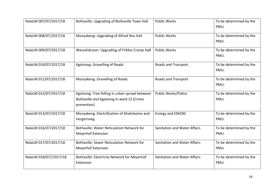| NalaLM 007/07/2017/18  | Bothaville: Upgrading of Bothaville Town Hall                                                              | <b>Public Works</b>                 | To be determined by the<br>PMU. |
|------------------------|------------------------------------------------------------------------------------------------------------|-------------------------------------|---------------------------------|
| NalaLM 008/07/2017/18  | Monyakeng: Upgrading of Alfred Nzo Hall                                                                    | <b>Public Works</b>                 | To be determined by the<br>PMU. |
| NalaLM 009/07/2017/18  | Wesselsbroon: Upgrading of Frikkie Cronje Hall                                                             | <b>Public Works</b>                 | To be determined by the<br>PMU. |
| NalaLM 010/07/2017/18  | Kgotsong: Gravelling of Roads                                                                              | Roads and Transport                 | To be determined by the<br>PMU. |
| NalaLM 011/07/2017/18  | Monyakeng: Gravelling of Roads                                                                             | Roads and Transport                 | To be determined by the<br>PMU. |
| NalaLM 012/07/2017/18  | Kgotsong: Tree felling in urban sprawl between<br>Bothaville and Kgotsong in ward 12 (Crime<br>prevention) | <b>Public Works/Police</b>          | To be determined by the<br>PMU. |
| NalaLM 013/07/2017/18  | Monyakeng: Electrification of Khalinkomo and<br>Vergernoeg                                                 | Energy and ESKOM                    | To be determined by the<br>PMU. |
| NalaLM 016/07/2017/18  | Bothaville: Water Reticulation Network for<br><b>Meyerhof Extension</b>                                    | Sanitation and Water Affairs        | To be determined by the<br>PMU. |
| NalaLM 017/07/2017/18  | <b>Bothaville: Sewer Reticulation Network for</b><br><b>Meyerhof Extension</b>                             | Sanitation and Water Affairs        | To be determined by the<br>PMU. |
| NalaLM 018/07//2017/18 | Bothaville: Electricity Network for Meyerhof<br>Extension                                                  | <b>Sanitation and Water Affairs</b> | To be determined by the<br>PMU. |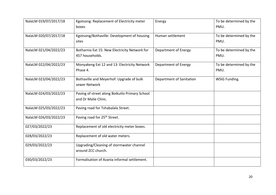| NalaLM 019/07/2017/18 | Kgotsong: Replacement of Electricity meter<br>boxes                    | Energy                   | To be determined by the<br>PMU. |
|-----------------------|------------------------------------------------------------------------|--------------------------|---------------------------------|
| NalaLM 020/07/2017/18 | Kgotsong/Bothaville: Development of housing<br>sites                   | Human settlement         | To be determined by the<br>PMU. |
| NalaLM 021/04/2022/23 | Botharnia Ext 15: New Electricity Network for<br>457 households.       | Department of Energy     | To be determined by the<br>PMU. |
| NalaLM 022/04/2022/23 | Monyakeng Ext 12 and 13: Electricity Network<br>Phase 4.               | Department of Energy     | To be determined by the<br>PMU. |
| NalaLM 023/04/2022/23 | Bothaville and Meyerhof: Upgrade of bulk<br>sewer Network              | Department of Sanitation | WSIG Funding.                   |
| NalaLM 024/03/2022/23 | Paving of street along Boikutlo Primary School<br>and Dr Maile Clinic. |                          |                                 |
| NalaLM 025/03/2022/23 | Paving road for Tshabalala Street.                                     |                          |                                 |
| NalaLM 026/03/2022/23 | Paving road for 25 <sup>th</sup> Street.                               |                          |                                 |
| 027/03/2022/23        | Replacement of old electricity meter boxes.                            |                          |                                 |
| 028/03/2022/23        | Replacement of old water meters.                                       |                          |                                 |
| 029/03/2022/23        | Upgrading/Cleaning of stormwater channel<br>around ZCC church.         |                          |                                 |
| 030/03/2022/23        | Formalisation of Azania informal settlement.                           |                          |                                 |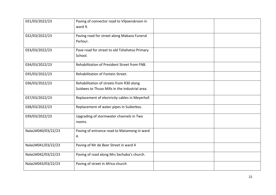| 031/03/2022/23     | Paving of connector road to Viljoenskroon in<br>ward 9.                                    |  |  |  |
|--------------------|--------------------------------------------------------------------------------------------|--|--|--|
| 032/03/2022/23     | Paving road for street along Mabaso Funeral<br>Parlour.                                    |  |  |  |
| 033/03/2022/23     | Pave road for street to old Tshehetso Primary<br>School.                                   |  |  |  |
| 034/03/2022/23     | Rehabilitation of President Street from FNB.                                               |  |  |  |
| 035/03/2022/23     | Rehabilitation of Fontein Street.                                                          |  |  |  |
| 036/03/2022/23     | Rehabilitation of streets from R30 along<br>Suidwes to Thuso Mills in the industrial area. |  |  |  |
| 037/03/2022/23     | Replacement of electricity cables in Meyerhof.                                             |  |  |  |
| 038/03/2022/23     | Replacement of water pipes in Suikerbos.                                                   |  |  |  |
| 039/03/2022/23     | Upgrading of stormwater channels in Two<br>rooms.                                          |  |  |  |
| NalaLM040/03/22/23 | Paving of entrance road to Matamong in ward<br>4.                                          |  |  |  |
| NalaLM041/03/22/23 | Paving of Mr de Beer Street in ward 4                                                      |  |  |  |
| NalaLM042/03/22/23 | Paving of road along Mrs Sechaba's church.                                                 |  |  |  |
| NalaLM043/03/22/23 | Paving of street in Africa church                                                          |  |  |  |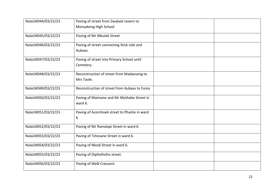| NalaLM044/03/22/23 | Paving of street from Zwakala tavern to      |  |
|--------------------|----------------------------------------------|--|
|                    | Monyakeng High School                        |  |
| NalaLM045/03/22/23 | Paving of Mr Mbulali Street                  |  |
| NalaLM046/03/22/23 | Paving of street connecting Stick side and   |  |
|                    | Aubaas.                                      |  |
| NalaLM047/03/22/23 | Paving of street into Primary School until   |  |
|                    | Cemetery.                                    |  |
| NalaLM048/03/22/23 | Reconstruction of street from Madaeseng to   |  |
|                    | Mrs Taole.                                   |  |
| NalaLM049/03/22/23 | Reconstruction of street from Aubaas to Fuma |  |
| NalaLM050/03/22/23 | Paving of Maimane and Mr Mothabe Street in   |  |
|                    | ward 6.                                      |  |
| NalaLM051/03/22/23 | Paving of Acornhoek street to Phashe in ward |  |
|                    | 6                                            |  |
| NalaLM052/03/22/23 | Paving of Mr Ramalapi Street in ward 6.      |  |
| NalaLM053/03/22/23 | Paving of Tshosane Street in ward 6.         |  |
| NalaLM054/03/22/23 | Paving of Nkodi Street in ward 6.            |  |
| NalaLM055/03/22/23 | Paving of Diphethoho street.                 |  |
| NalaLM056/03/22/23 | Paving of Melk Crescent.                     |  |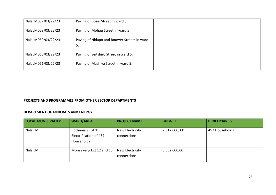| NalaLM057/03/22/23 | Paving of Bosiu Street in ward 5.                 |  |
|--------------------|---------------------------------------------------|--|
| NalaLM058/03/22/23 | Paving of Mohau Street in ward 5                  |  |
| NalaLM059/03/22/23 | Paving of Nhlapo and Bouwer Streets in ward<br>5. |  |
| NalaLM060/03/22/23 | Paving of Seitshiro Street in ward 5.             |  |
| NalaLM061/03/22/23 | Paving of Mashiya Street in ward 5.               |  |

## **PROJECTS AND PROGRAMMES FROM OTHER SECTOR DEPARTMENTS**

#### **DEPARTMENT OF MINERALS AND ENERGY**

| <b>LOCAL MUNICIPALITY</b> | <b>WARD/AREA</b>                                           | <b>PROJECT NAME</b>            | <b>BUDGET</b> | <b>BENEFICIARIES</b> |
|---------------------------|------------------------------------------------------------|--------------------------------|---------------|----------------------|
| Nala LM                   | Bothania 9 Ext 15:<br>Electrification of 457<br>Households | New Electricity<br>connections | 7 312 000, 00 | 457 Households       |
| Nala LM                   | Monyakeng Ext 12 and 13                                    | New Electricity<br>connections | 3 552 000,00  |                      |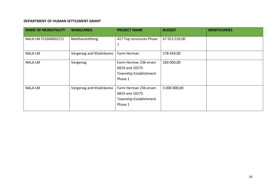#### **DEPARTMENT OF HUMAN SETTLEMENT GRANT**

| <b>NAME OF MUNICPALITY</b> | <b>WARD/AREA</b>        | <b>PROJECT NAME</b>      | <b>BUDGET</b> | <b>BENEFICIARIES</b> |
|----------------------------|-------------------------|--------------------------|---------------|----------------------|
| NALA LM FS16040027/1       | Matlharantlheng         | 417 Top structures Phase | 67 013 539,00 |                      |
|                            |                         | ᆚ                        |               |                      |
| <b>NALA LM</b>             | Vergenog and Khalinkomo | Farm Herman              | 578 434,00    |                      |
| <b>NALA LM</b>             | Vergenog                | Farm Herman 236 erven    | 260 000,00    |                      |
|                            |                         | 6819 and 10275           |               |                      |
|                            |                         | Township Establishment   |               |                      |
|                            |                         | Phase 1                  |               |                      |
| <b>NALA LM</b>             | Vergenog and Khalinkomo | Farm Herman 236 erven    | 3 000 000,00  |                      |
|                            |                         | 6819 and 10275           |               |                      |
|                            |                         | Township Establishment   |               |                      |
|                            |                         | Phase 1                  |               |                      |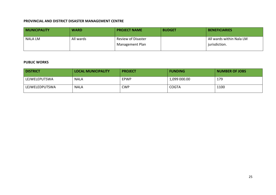#### **PROVINCIAL AND DISTRICT DISASTER MANAGEMENT CENTRE**

| <b>MUNICIPALITY</b> | <b>WARD</b> | <b>PROJECT NAME</b>                                       | <b>BUDGET</b> | <b>BENEFICIARIES</b>                      |
|---------------------|-------------|-----------------------------------------------------------|---------------|-------------------------------------------|
| NALA LM             | All wards   | <b>Review of Disaster</b><br><sup>1</sup> Management Plan |               | All wards within Nala LM<br>jurisdiction. |

#### **PUBLIC WORKS**

| <b>DISTRICT</b> | <b>LOCAL MUNICIPALITY</b> | <b>PROJECT</b> | <b>FUNDING</b> | <b>NUMBER OF JOBS</b> |
|-----------------|---------------------------|----------------|----------------|-----------------------|
| LEJWELEPUTSWA   | <b>NALA</b>               | <b>EPWP</b>    | 1,099 000.00   | 179                   |
| LEJWELEDPUTSWA  | <b>NALA</b>               | <b>CWP</b>     | <b>COGTA</b>   | 1100                  |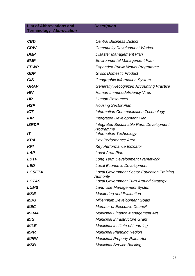| <b>List of Abbreviations and</b><br><b>Terminology Abbreviation</b> | <b>Description</b>                                             |
|---------------------------------------------------------------------|----------------------------------------------------------------|
|                                                                     |                                                                |
| <b>CBD</b>                                                          | <b>Central Business District</b>                               |
| <b>CDW</b>                                                          | <b>Community Development Workers</b>                           |
| <b>DMP</b>                                                          | Disaster Management Plan                                       |
| <b>EMP</b>                                                          | <b>Environmental Management Plan</b>                           |
| <b>EPWP</b>                                                         | <b>Expanded Public Works Programme</b>                         |
| <b>GDP</b>                                                          | <b>Gross Domestic Product</b>                                  |
| <b>GIS</b>                                                          | Geographic Information System                                  |
| <b>GRAP</b>                                                         | <b>Generally Recognized Accounting Practice</b>                |
| <b>HIV</b>                                                          | Human Immunodeficiency Virus                                   |
| <b>HR</b>                                                           | <b>Human Resources</b>                                         |
| <b>HSP</b>                                                          | <b>Housing Sector Plan</b>                                     |
| <b>ICT</b>                                                          | Information Communication Technology                           |
| <b>IDP</b>                                                          | <b>Integrated Development Plan</b>                             |
| <b>ISRDP</b>                                                        | <b>Integrated Sustainable Rural Development</b>                |
| IT                                                                  | Programme<br><b>Information Technology</b>                     |
| <b>KPA</b>                                                          | <b>Key Performance Area</b>                                    |
| <b>KPI</b>                                                          | <b>Key Performance Indicator</b>                               |
| <b>LAP</b>                                                          | Local Area Plan                                                |
| <b>LDTF</b>                                                         | <b>Long Term Development Framework</b>                         |
| <i><b>LED</b></i>                                                   | <b>Local Economic Development</b>                              |
| <b>LGSETA</b>                                                       | <b>Local Government Sector Education Training</b><br>Authority |
| <b>LGTAS</b>                                                        | <b>Local Government Turn Around Strategy</b>                   |
| <b>LUMS</b>                                                         | <b>Land Use Management System</b>                              |
| M&E                                                                 | <b>Monitoring and Evaluation</b>                               |
| <b>MDG</b>                                                          | <b>Millennium Development Goals</b>                            |
| <b>MEC</b>                                                          | <b>Member of Executive Council</b>                             |
| <b>MFMA</b>                                                         | <b>Municipal Finance Management Act</b>                        |
| <b>MIG</b>                                                          | <b>Municipal Infrastructure Grant</b>                          |
| <b>MILE</b>                                                         | Municipal Institute of Learning                                |
| <b>MPR</b>                                                          | <b>Municipal Planning Region</b>                               |
| MPRA                                                                | <b>Municipal Property Rates Act</b>                            |
| MSB                                                                 | <b>Municipal Service Backlog</b>                               |